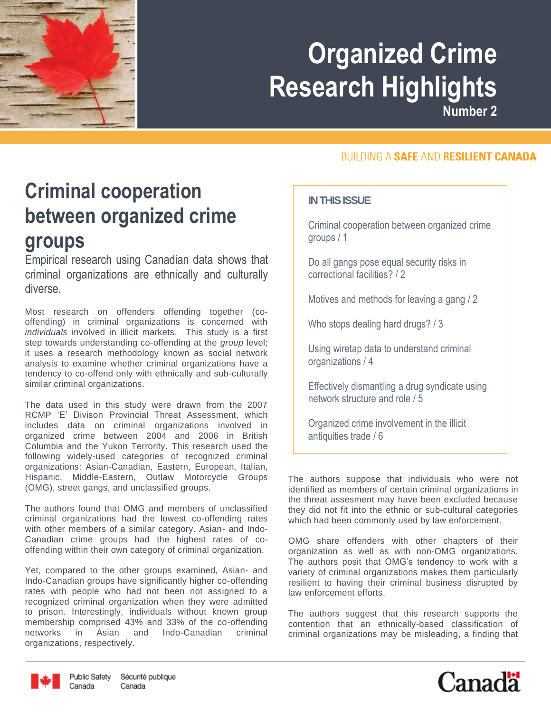

**Number 2**

#### **BUILDING A SAFE AND RESILIENT CANADA**

### **Criminal cooperation between organized crime groups**

Empirical research using Canadian data shows that criminal organizations are ethnically and culturally diverse.

Most research on offenders offending together (cooffending) in criminal organizations is concerned with *individuals* involved in illicit markets. This study is a first step towards understanding co-offending at the *group* level; it uses a research methodology known as social network analysis to examine whether criminal organizations have a tendency to co-offend only with ethnically and sub-culturally similar criminal organizations.

The data used in this study were drawn from the 2007 RCMP 'E' Divison Provincial Threat Assessment, which includes data on criminal organizations involved in organized crime between 2004 and 2006 in British Columbia and the Yukon Terrority. This research used the following widely-used categories of recognized criminal organizations: Asian-Canadian, Eastern, European, Italian, Hispanic, Middle-Eastern, Outlaw Motorcycle Groups (OMG), street gangs, and unclassified groups.

The authors found that OMG and members of unclassified criminal organizations had the lowest co-offending rates with other members of a similar category. Asian- and Indo-Canadian crime groups had the highest rates of cooffending within their own category of criminal organization.

Yet, compared to the other groups examined, Asian- and Indo-Canadian groups have significantly higher co-offending rates with people who had not been not assigned to a recognized criminal organization when they were admitted to prison. Interestingly, individuals without known group membership comprised 43% and 33% of the co-offending networks in Asian and Indo-Canadian criminal organizations, respectively.

#### **IN THIS ISSUE**

Criminal cooperation between organized crime groups / 1

Do all gangs pose equal security risks in correctional facilities? / 2

Motives and methods for leaving a gang / 2

Who stops dealing hard drugs? / 3

Using wiretap data to understand criminal organizations / 4

Effectively dismantling a drug syndicate using network structure and role / 5

Organized crime involvement in the illicit antiquities trade / 6

The authors suppose that individuals who were not identified as members of certain criminal organizations in the threat assesment may have been excluded because they did not fit into the ethnic or sub-cultural categories which had been commonly used by law enforcement.

OMG share offenders with other chapters of their organization as well as with non-OMG organizations. The authors posit that OMG's tendency to work with a variety of criminal organizations makes them particularly resilient to having their criminal business disrupted by law enforcement efforts.

The authors suggest that this research supports the contention that an ethnically-based classification of criminal organizations may be misleading, a finding that



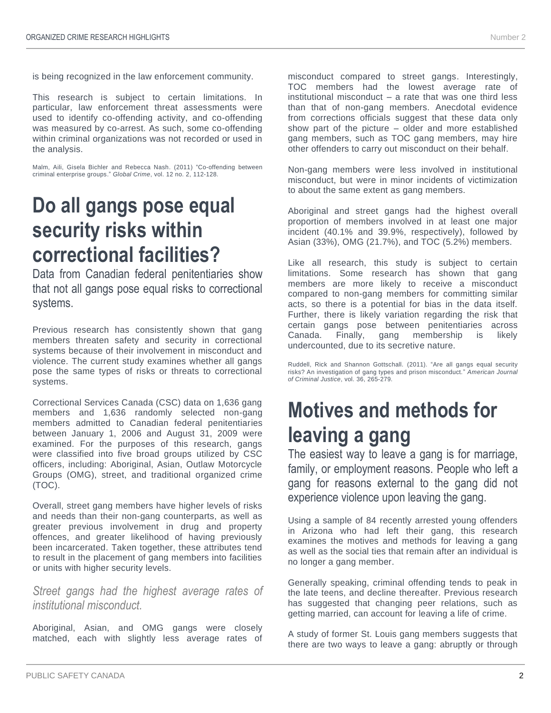is being recognized in the law enforcement community.

This research is subject to certain limitations. In particular, law enforcement threat assessments were used to identify co-offending activity, and co-offending was measured by co-arrest. As such, some co-offending within criminal organizations was not recorded or used in the analysis.

Malm, Aili, Gisela Bichler and Rebecca Nash. (2011) "Co-offending between criminal enterprise groups." *Global Crime*, vol. 12 no. 2, 112-128.

#### **Do all gangs pose equal security risks within correctional facilities?**

Data from Canadian federal penitentiaries show that not all gangs pose equal risks to correctional systems.

Previous research has consistently shown that gang members threaten safety and security in correctional systems because of their involvement in misconduct and violence. The current study examines whether all gangs pose the same types of risks or threats to correctional systems.

Correctional Services Canada (CSC) data on 1,636 gang members and 1,636 randomly selected non-gang members admitted to Canadian federal penitentiaries between January 1, 2006 and August 31, 2009 were examined. For the purposes of this research, gangs were classified into five broad groups utilized by CSC officers, including: Aboriginal, Asian, Outlaw Motorcycle Groups (OMG), street, and traditional organized crime (TOC).

Overall, street gang members have higher levels of risks and needs than their non-gang counterparts, as well as greater previous involvement in drug and property offences, and greater likelihood of having previously been incarcerated. Taken together, these attributes tend to result in the placement of gang members into facilities or units with higher security levels.

*Street gangs had the highest average rates of institutional misconduct.*

Aboriginal, Asian, and OMG gangs were closely matched, each with slightly less average rates of

misconduct compared to street gangs. Interestingly, TOC members had the lowest average rate of institutional misconduct – a rate that was one third less than that of non-gang members. Anecdotal evidence from corrections officials suggest that these data only show part of the picture – older and more established gang members, such as TOC gang members, may hire

Non-gang members were less involved in institutional misconduct, but were in minor incidents of victimization to about the same extent as gang members.

other offenders to carry out misconduct on their behalf.

Aboriginal and street gangs had the highest overall proportion of members involved in at least one major incident (40.1% and 39.9%, respectively), followed by Asian (33%), OMG (21.7%), and TOC (5.2%) members.

Like all research, this study is subject to certain limitations. Some research has shown that gang members are more likely to receive a misconduct compared to non-gang members for committing similar acts, so there is a potential for bias in the data itself. Further, there is likely variation regarding the risk that certain gangs pose between penitentiaries across Canada. Finally, gang membership is likely undercounted, due to its secretive nature.

Ruddell, Rick and Shannon Gottschall. (2011). "Are all gangs equal security risks? An investigation of gang types and prison misconduct." *American Journal of Criminal Justice*, vol. 36, 265-279.

# **Motives and methods for leaving a gang**

The easiest way to leave a gang is for marriage, family, or employment reasons. People who left a gang for reasons external to the gang did not experience violence upon leaving the gang.

Using a sample of 84 recently arrested young offenders in Arizona who had left their gang, this research examines the motives and methods for leaving a gang as well as the social ties that remain after an individual is no longer a gang member.

Generally speaking, criminal offending tends to peak in the late teens, and decline thereafter. Previous research has suggested that changing peer relations, such as getting married, can account for leaving a life of crime.

A study of former St. Louis gang members suggests that there are two ways to leave a gang: abruptly or through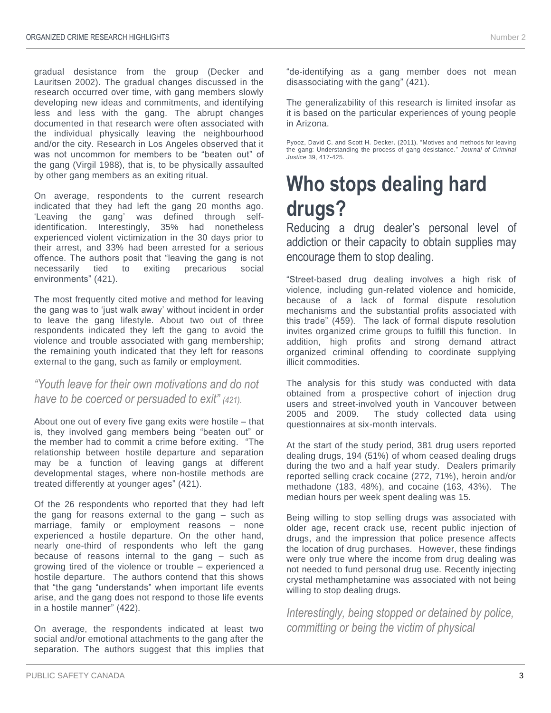gradual desistance from the group (Decker and Lauritsen 2002). The gradual changes discussed in the research occurred over time, with gang members slowly developing new ideas and commitments, and identifying less and less with the gang. The abrupt changes documented in that research were often associated with the individual physically leaving the neighbourhood and/or the city. Research in Los Angeles observed that it was not uncommon for members to be "beaten out" of the gang (Virgil 1988), that is, to be physically assaulted by other gang members as an exiting ritual.

On average, respondents to the current research indicated that they had left the gang 20 months ago. 'Leaving the gang' was defined through selfidentification. Interestingly, 35% had nonetheless experienced violent victimization in the 30 days prior to their arrest, and 33% had been arrested for a serious offence. The authors posit that "leaving the gang is not necessarily tied to exiting precarious social environments" (421).

The most frequently cited motive and method for leaving the gang was to 'just walk away' without incident in order to leave the gang lifestyle. About two out of three respondents indicated they left the gang to avoid the violence and trouble associated with gang membership; the remaining youth indicated that they left for reasons external to the gang, such as family or employment.

#### *"Youth leave for their own motivations and do not have to be coerced or persuaded to exit" (421).*

About one out of every five gang exits were hostile – that is, they involved gang members being "beaten out" or the member had to commit a crime before exiting. "The relationship between hostile departure and separation may be a function of leaving gangs at different developmental stages, where non-hostile methods are treated differently at younger ages" (421).

Of the 26 respondents who reported that they had left the gang for reasons external to the gang – such as marriage, family or employment reasons – none experienced a hostile departure. On the other hand, nearly one-third of respondents who left the gang because of reasons internal to the gang – such as growing tired of the violence or trouble – experienced a hostile departure. The authors contend that this shows that "the gang "understands" when important life events arise, and the gang does not respond to those life events in a hostile manner" (422).

On average, the respondents indicated at least two social and/or emotional attachments to the gang after the separation. The authors suggest that this implies that "de-identifying as a gang member does not mean disassociating with the gang" (421).

The generalizability of this research is limited insofar as it is based on the particular experiences of young people in Arizona.

Pyooz, David C. and Scott H. Decker. (2011). "Motives and methods for leaving the gang: Understanding the process of gang desistance." *Journal of Criminal Justice* 39, 417-425.

# **Who stops dealing hard drugs?**

Reducing a drug dealer's personal level of addiction or their capacity to obtain supplies may encourage them to stop dealing.

"Street-based drug dealing involves a high risk of violence, including gun-related violence and homicide, because of a lack of formal dispute resolution mechanisms and the substantial profits associated with this trade" (459). The lack of formal dispute resolution invites organized crime groups to fulfill this function. In addition, high profits and strong demand attract organized criminal offending to coordinate supplying illicit commodities.

The analysis for this study was conducted with data obtained from a prospective cohort of injection drug users and street-involved youth in Vancouver between 2005 and 2009. The study collected data using questionnaires at six-month intervals.

At the start of the study period, 381 drug users reported dealing drugs, 194 (51%) of whom ceased dealing drugs during the two and a half year study. Dealers primarily reported selling crack cocaine (272, 71%), heroin and/or methadone (183, 48%), and cocaine (163, 43%). The median hours per week spent dealing was 15.

Being willing to stop selling drugs was associated with older age, recent crack use, recent public injection of drugs, and the impression that police presence affects the location of drug purchases. However, these findings were only true where the income from drug dealing was not needed to fund personal drug use. Recently injecting crystal methamphetamine was associated with not being willing to stop dealing drugs.

*Interestingly, being stopped or detained by police, committing or being the victim of physical*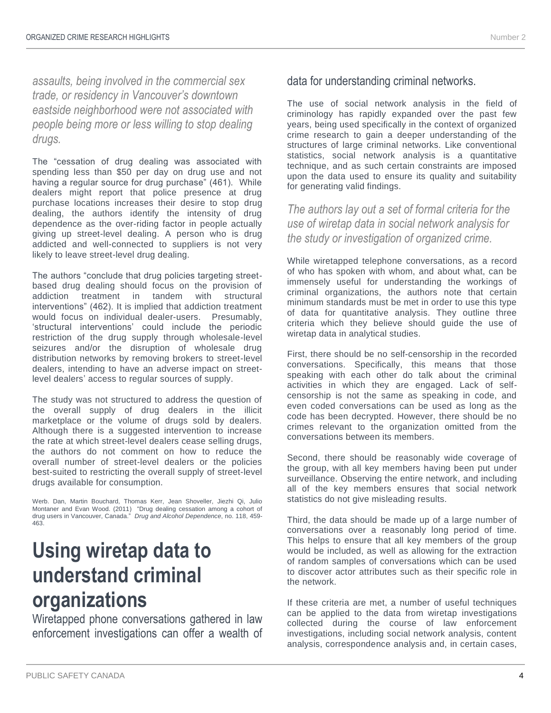*assaults, being involved in the commercial sex trade, or residency in Vancouver's downtown eastside neighborhood were not associated with people being more or less willing to stop dealing drugs.*

The "cessation of drug dealing was associated with spending less than \$50 per day on drug use and not having a regular source for drug purchase" (461). While dealers might report that police presence at drug purchase locations increases their desire to stop drug dealing, the authors identify the intensity of drug dependence as the over-riding factor in people actually giving up street-level dealing. A person who is drug addicted and well-connected to suppliers is not very likely to leave street-level drug dealing.

The authors "conclude that drug policies targeting streetbased drug dealing should focus on the provision of addiction treatment in tandem with structural interventions" (462). It is implied that addiction treatment would focus on individual dealer-users. Presumably, 'structural interventions' could include the periodic restriction of the drug supply through wholesale-level seizures and/or the disruption of wholesale drug distribution networks by removing brokers to street-level dealers, intending to have an adverse impact on streetlevel dealers' access to regular sources of supply.

The study was not structured to address the question of the overall supply of drug dealers in the illicit marketplace or the volume of drugs sold by dealers. Although there is a suggested intervention to increase the rate at which street-level dealers cease selling drugs, the authors do not comment on how to reduce the overall number of street-level dealers or the policies best-suited to restricting the overall supply of street-level drugs available for consumption.

Werb. Dan, Martin Bouchard, Thomas Kerr, Jean Shoveller, Jiezhi Qi, Julio Montaner and Evan Wood. (2011) "Drug dealing cessation among a cohort of drug users in Vancouver, Canada." *Drug and Alcohol Dependence*, no. 118, 459- 463.

### **Using wiretap data to understand criminal organizations**

Wiretapped phone conversations gathered in law enforcement investigations can offer a wealth of

#### data for understanding criminal networks.

The use of social network analysis in the field of criminology has rapidly expanded over the past few years, being used specifically in the context of organized crime research to gain a deeper understanding of the structures of large criminal networks. Like conventional statistics, social network analysis is a quantitative technique, and as such certain constraints are imposed upon the data used to ensure its quality and suitability for generating valid findings.

*The authors lay out a set of formal criteria for the use of wiretap data in social network analysis for the study or investigation of organized crime.*

While wiretapped telephone conversations, as a record of who has spoken with whom, and about what, can be immensely useful for understanding the workings of criminal organizations, the authors note that certain minimum standards must be met in order to use this type of data for quantitative analysis. They outline three criteria which they believe should guide the use of wiretap data in analytical studies.

First, there should be no self-censorship in the recorded conversations. Specifically, this means that those speaking with each other do talk about the criminal activities in which they are engaged. Lack of selfcensorship is not the same as speaking in code, and even coded conversations can be used as long as the code has been decrypted. However, there should be no crimes relevant to the organization omitted from the conversations between its members.

Second, there should be reasonably wide coverage of the group, with all key members having been put under surveillance. Observing the entire network, and including all of the key members ensures that social network statistics do not give misleading results.

Third, the data should be made up of a large number of conversations over a reasonably long period of time. This helps to ensure that all key members of the group would be included, as well as allowing for the extraction of random samples of conversations which can be used to discover actor attributes such as their specific role in the network.

If these criteria are met, a number of useful techniques can be applied to the data from wiretap investigations collected during the course of law enforcement investigations, including social network analysis, content analysis, correspondence analysis and, in certain cases,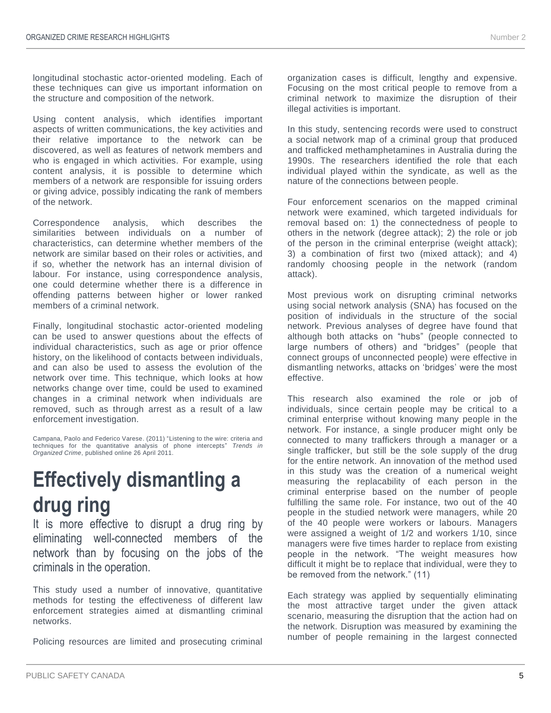longitudinal stochastic actor-oriented modeling. Each of these techniques can give us important information on the structure and composition of the network.

Using content analysis, which identifies important aspects of written communications, the key activities and their relative importance to the network can be discovered, as well as features of network members and who is engaged in which activities. For example, using content analysis, it is possible to determine which members of a network are responsible for issuing orders or giving advice, possibly indicating the rank of members of the network.

Correspondence analysis, which describes the similarities between individuals on a number of characteristics, can determine whether members of the network are similar based on their roles or activities, and if so, whether the network has an internal division of labour. For instance, using correspondence analysis, one could determine whether there is a difference in offending patterns between higher or lower ranked members of a criminal network.

Finally, longitudinal stochastic actor-oriented modeling can be used to answer questions about the effects of individual characteristics, such as age or prior offence history, on the likelihood of contacts between individuals, and can also be used to assess the evolution of the network over time. This technique, which looks at how networks change over time, could be used to examined changes in a criminal network when individuals are removed, such as through arrest as a result of a law enforcement investigation.

Campana, Paolo and Federico Varese. (2011) "Listening to the wire: criteria and techniques for the quantitative analysis of phone intercepts" *Trends in Organized Crime*, published online 26 April 2011.

# **Effectively dismantling a drug ring**

It is more effective to disrupt a drug ring by eliminating well-connected members of the network than by focusing on the jobs of the criminals in the operation.

This study used a number of innovative, quantitative methods for testing the effectiveness of different law enforcement strategies aimed at dismantling criminal networks.

Policing resources are limited and prosecuting criminal

organization cases is difficult, lengthy and expensive. Focusing on the most critical people to remove from a criminal network to maximize the disruption of their illegal activities is important.

In this study, sentencing records were used to construct a social network map of a criminal group that produced and trafficked methamphetamines in Australia during the 1990s. The researchers identified the role that each individual played within the syndicate, as well as the nature of the connections between people.

Four enforcement scenarios on the mapped criminal network were examined, which targeted individuals for removal based on: 1) the connectedness of people to others in the network (degree attack); 2) the role or job of the person in the criminal enterprise (weight attack); 3) a combination of first two (mixed attack); and 4) randomly choosing people in the network (random attack).

Most previous work on disrupting criminal networks using social network analysis (SNA) has focused on the position of individuals in the structure of the social network. Previous analyses of degree have found that although both attacks on "hubs" (people connected to large numbers of others) and "bridges" (people that connect groups of unconnected people) were effective in dismantling networks, attacks on 'bridges' were the most effective.

This research also examined the role or job of individuals, since certain people may be critical to a criminal enterprise without knowing many people in the network. For instance, a single producer might only be connected to many traffickers through a manager or a single trafficker, but still be the sole supply of the drug for the entire network. An innovation of the method used in this study was the creation of a numerical weight measuring the replacability of each person in the criminal enterprise based on the number of people fulfilling the same role. For instance, two out of the 40 people in the studied network were managers, while 20 of the 40 people were workers or labours. Managers were assigned a weight of 1/2 and workers 1/10, since managers were five times harder to replace from existing people in the network. "The weight measures how difficult it might be to replace that individual, were they to be removed from the network." (11)

Each strategy was applied by sequentially eliminating the most attractive target under the given attack scenario, measuring the disruption that the action had on the network. Disruption was measured by examining the number of people remaining in the largest connected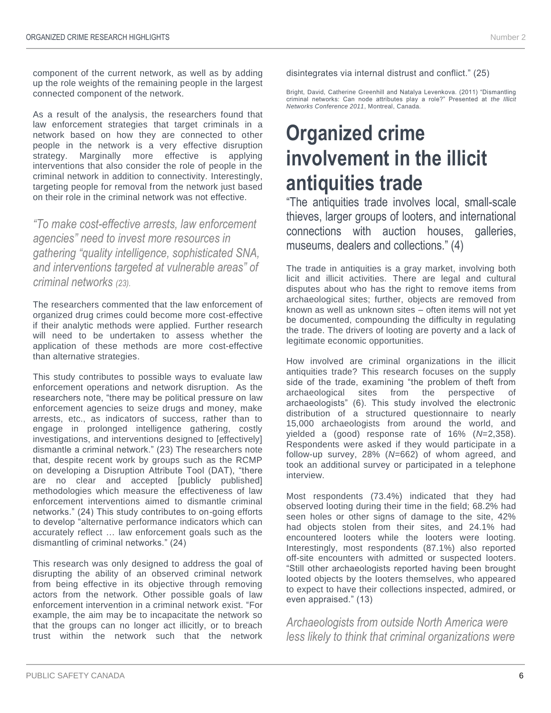component of the current network, as well as by adding up the role weights of the remaining people in the largest connected component of the network.

As a result of the analysis, the researchers found that law enforcement strategies that target criminals in a network based on how they are connected to other people in the network is a very effective disruption strategy. Marginally more effective is applying interventions that also consider the role of people in the criminal network in addition to connectivity. Interestingly, targeting people for removal from the network just based on their role in the criminal network was not effective.

*"To make cost-effective arrests, law enforcement agencies" need to invest more resources in gathering "quality intelligence, sophisticated SNA, and interventions targeted at vulnerable areas" of criminal networks (23).*

The researchers commented that the law enforcement of organized drug crimes could become more cost-effective if their analytic methods were applied. Further research will need to be undertaken to assess whether the application of these methods are more cost-effective than alternative strategies.

This study contributes to possible ways to evaluate law enforcement operations and network disruption. As the researchers note, "there may be political pressure on law enforcement agencies to seize drugs and money, make arrests, etc., as indicators of success, rather than to engage in prolonged intelligence gathering, costly investigations, and interventions designed to [effectively] dismantle a criminal network." (23) The researchers note that, despite recent work by groups such as the RCMP on developing a Disruption Attribute Tool (DAT), "there are no clear and accepted [publicly published] methodologies which measure the effectiveness of law enforcement interventions aimed to dismantle criminal networks." (24) This study contributes to on-going efforts to develop "alternative performance indicators which can accurately reflect … law enforcement goals such as the dismantling of criminal networks." (24)

This research was only designed to address the goal of disrupting the ability of an observed criminal network from being effective in its objective through removing actors from the network. Other possible goals of law enforcement intervention in a criminal network exist. "For example, the aim may be to incapacitate the network so that the groups can no longer act illicitly, or to breach trust within the network such that the network

disintegrates via internal distrust and conflict." (25)

Bright, David, Catherine Greenhill and Natalya Levenkova. (2011) "Dismantling criminal networks: Can node attributes play a role?" Presented at *the Illicit Networks Conference 2011*, Montreal, Canada.

# **Organized crime involvement in the illicit antiquities trade**

"The antiquities trade involves local, small-scale thieves, larger groups of looters, and international connections with auction houses, galleries, museums, dealers and collections." (4)

The trade in antiquities is a gray market, involving both licit and illicit activities. There are legal and cultural disputes about who has the right to remove items from archaeological sites; further, objects are removed from known as well as unknown sites – often items will not yet be documented, compounding the difficulty in regulating the trade. The drivers of looting are poverty and a lack of legitimate economic opportunities.

How involved are criminal organizations in the illicit antiquities trade? This research focuses on the supply side of the trade, examining "the problem of theft from archaeological sites from the perspective of archaeologists" (6). This study involved the electronic distribution of a structured questionnaire to nearly 15,000 archaeologists from around the world, and yielded a (good) response rate of 16% (*N*=2,358). Respondents were asked if they would participate in a follow-up survey, 28% (*N*=662) of whom agreed, and took an additional survey or participated in a telephone interview.

Most respondents (73.4%) indicated that they had observed looting during their time in the field; 68.2% had seen holes or other signs of damage to the site, 42% had objects stolen from their sites, and 24.1% had encountered looters while the looters were looting. Interestingly, most respondents (87.1%) also reported off-site encounters with admitted or suspected looters. "Still other archaeologists reported having been brought looted objects by the looters themselves, who appeared to expect to have their collections inspected, admired, or even appraised." (13)

*Archaeologists from outside North America were less likely to think that criminal organizations were*